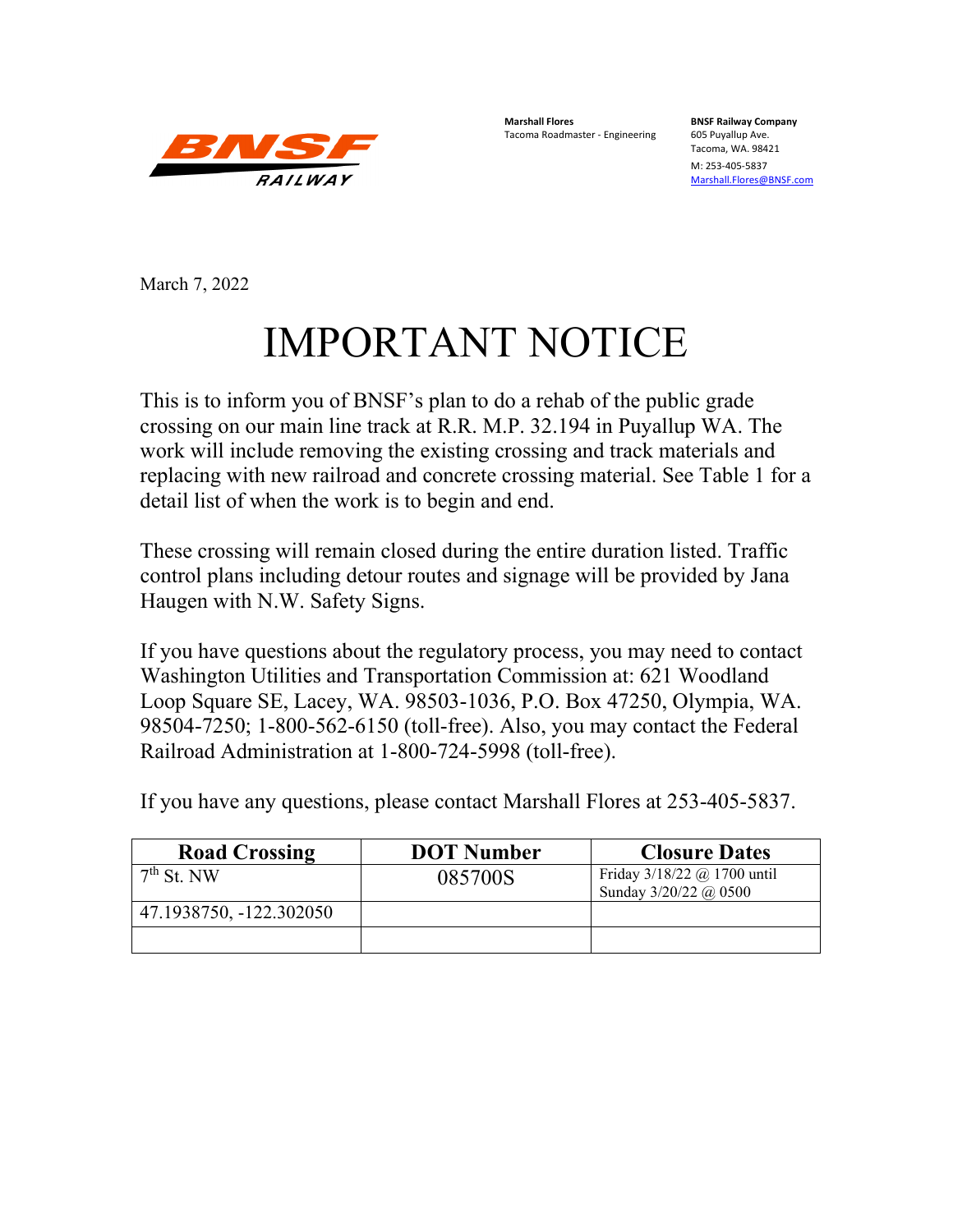

**Marshall Flores BNSF Railway Company** Tacoma Roadmaster - Engineering

Tacoma, WA. 98421

M: 253-405-5837 [Marshall.Flores@BNSF.com](mailto:Marshall.Flores@BNSF.com)

March 7, 2022

# IMPORTANT NOTICE

This is to inform you of BNSF's plan to do a rehab of the public grade crossing on our main line track at R.R. M.P. 32.194 in Puyallup WA. The work will include removing the existing crossing and track materials and replacing with new railroad and concrete crossing material. See Table 1 for a detail list of when the work is to begin and end.

These crossing will remain closed during the entire duration listed. Traffic control plans including detour routes and signage will be provided by Jana Haugen with N.W. Safety Signs.

If you have questions about the regulatory process, you may need to contact Washington Utilities and Transportation Commission at: 621 Woodland Loop Square SE, Lacey, WA. 98503-1036, P.O. Box 47250, Olympia, WA. 98504-7250; 1-800-562-6150 (toll-free). Also, you may contact the Federal Railroad Administration at 1-800-724-5998 (toll-free).

| <b>Road Crossing</b>    | <b>DOT</b> Number | <b>Closure Dates</b>                                   |
|-------------------------|-------------------|--------------------------------------------------------|
| $7th$ St. NW            | 085700S           | Friday $3/18/22$ @ 1700 until<br>Sunday 3/20/22 @ 0500 |
| 47.1938750, -122.302050 |                   |                                                        |
|                         |                   |                                                        |

If you have any questions, please contact Marshall Flores at 253-405-5837.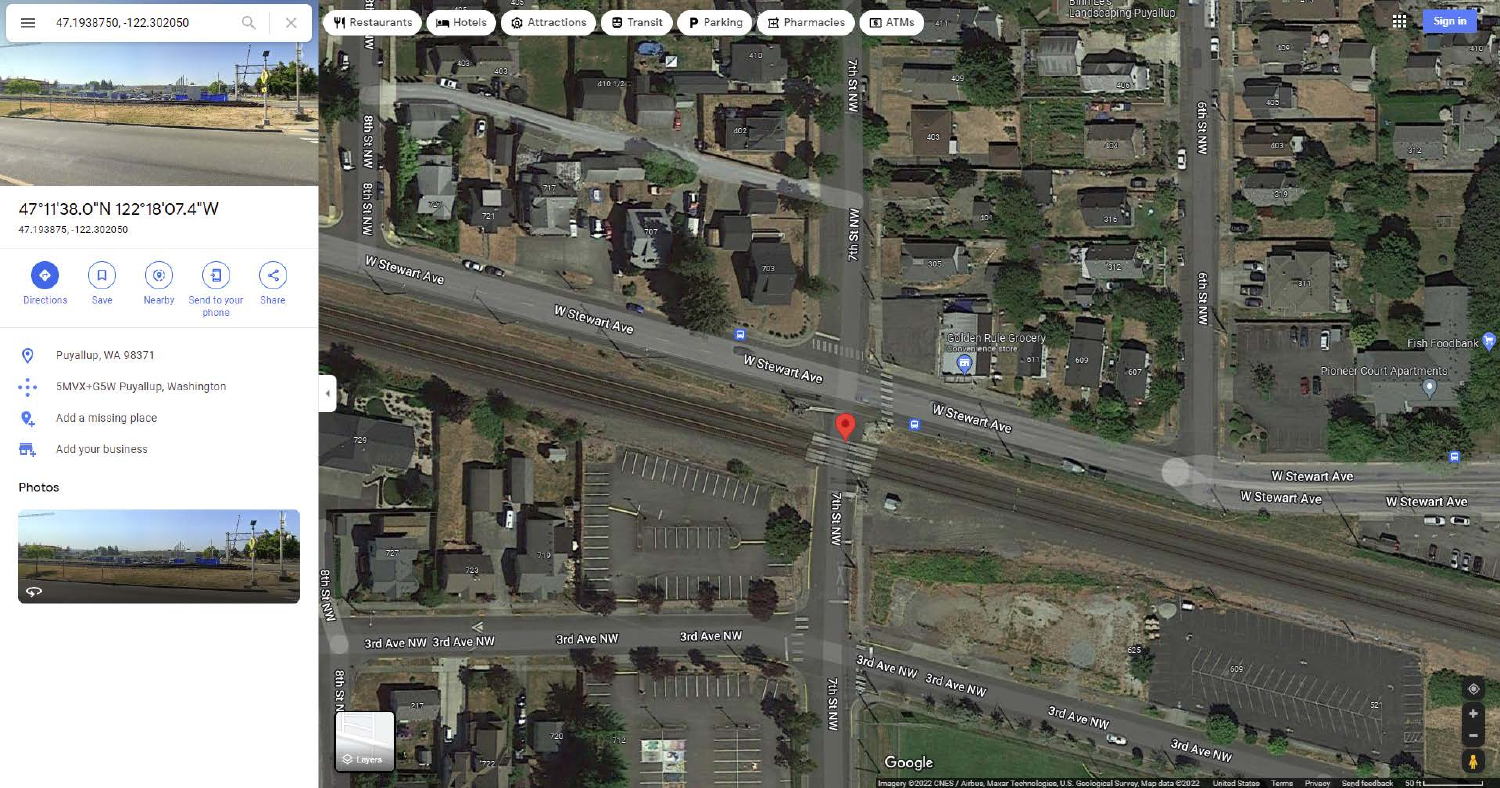

## 47°11'38.0"N 122°18'07.4"W 47.193875, -122.302050



#### Photos





Landscaping Puyallup m. **Sign in** eth St NW 6 Gth St NW **AG**  $\mathbf{a}$ den Rule Grocery Fish Foodbank ∩ Pioneer Court Apartments W Stewart Ave **W** Stewart Ave **W** Stewart Ave W Stewart Ave  $\blacksquare$  $9 - 35P$ 

 $3rd$  Ave NW

3rd Ave NW

50 ft edback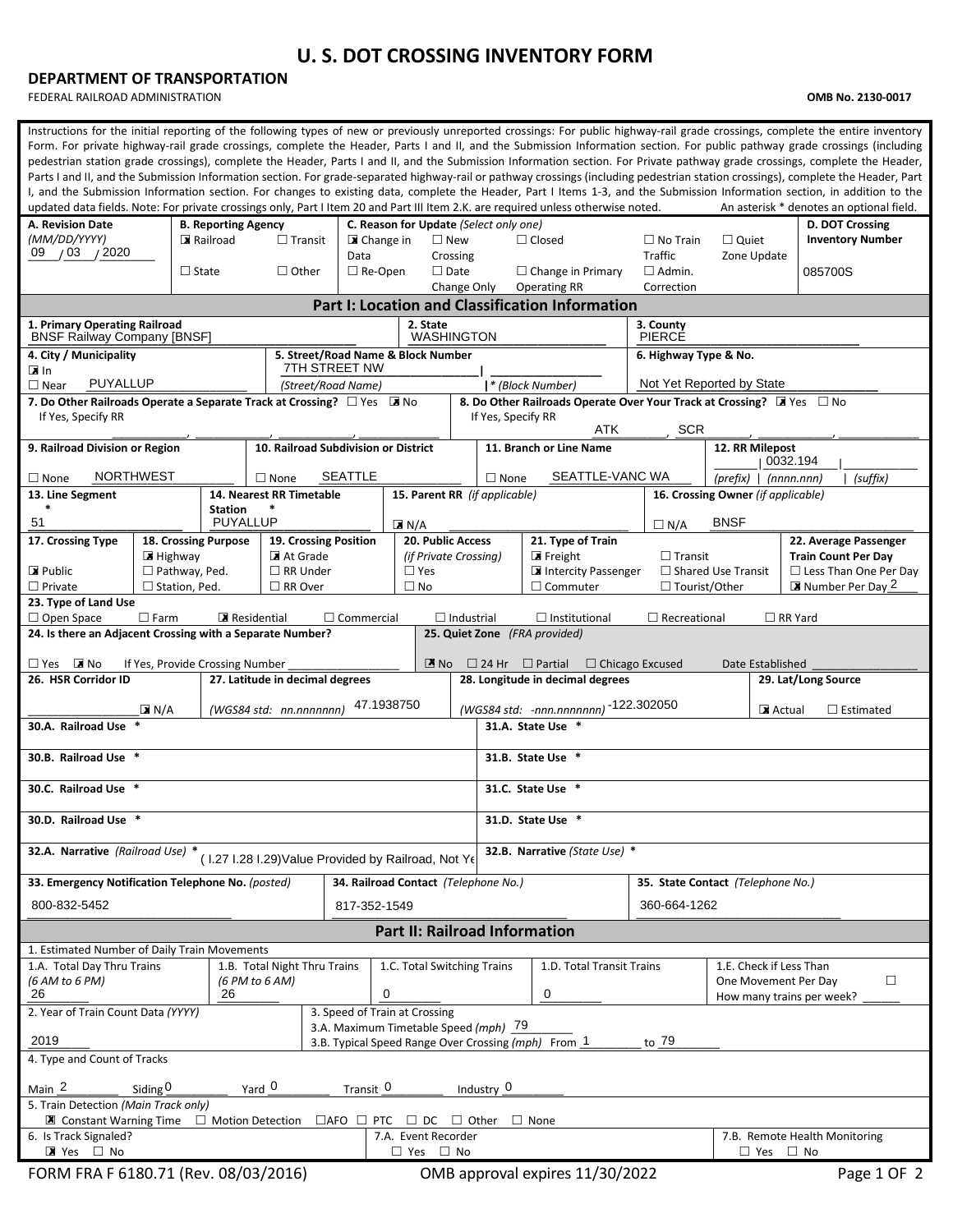## **U. S. DOT CROSSING INVENTORY FORM**

#### **DEPARTMENT OF TRANSPORTATION**

FEDERAL RAILROAD ADMINISTRATION **OMB No. 2130-0017**

| Instructions for the initial reporting of the following types of new or previously unreported crossings: For public highway-rail grade crossings, complete the entire inventory<br>Form. For private highway-rail grade crossings, complete the Header, Parts I and II, and the Submission Information section. For public pathway grade crossings (including<br>pedestrian station grade crossings), complete the Header, Parts I and II, and the Submission Information section. For Private pathway grade crossings, complete the Header,<br>Parts I and II, and the Submission Information section. For grade-separated highway-rail or pathway crossings (including pedestrian station crossings), complete the Header, Part<br>I, and the Submission Information section. For changes to existing data, complete the Header, Part I Items 1-3, and the Submission Information section, in addition to the<br>updated data fields. Note: For private crossings only, Part I Item 20 and Part III Item 2.K. are required unless otherwise noted.<br>An asterisk * denotes an optional field. |                                                |                                                     |                                                                        |                                        |                           |                   |                                                                                        |                                             |                                                            |                                            |  |  |  |
|--------------------------------------------------------------------------------------------------------------------------------------------------------------------------------------------------------------------------------------------------------------------------------------------------------------------------------------------------------------------------------------------------------------------------------------------------------------------------------------------------------------------------------------------------------------------------------------------------------------------------------------------------------------------------------------------------------------------------------------------------------------------------------------------------------------------------------------------------------------------------------------------------------------------------------------------------------------------------------------------------------------------------------------------------------------------------------------------------|------------------------------------------------|-----------------------------------------------------|------------------------------------------------------------------------|----------------------------------------|---------------------------|-------------------|----------------------------------------------------------------------------------------|---------------------------------------------|------------------------------------------------------------|--------------------------------------------|--|--|--|
| A. Revision Date<br>(MM/DD/YYYY)                                                                                                                                                                                                                                                                                                                                                                                                                                                                                                                                                                                                                                                                                                                                                                                                                                                                                                                                                                                                                                                                 | <b>B. Reporting Agency</b><br>Railroad         | $\Box$ Transit                                      |                                                                        | C. Reason for Update (Select only one) |                           |                   |                                                                                        | $\Box$ No Train                             |                                                            | D. DOT Crossing<br><b>Inventory Number</b> |  |  |  |
| /03 / 2020<br>09                                                                                                                                                                                                                                                                                                                                                                                                                                                                                                                                                                                                                                                                                                                                                                                                                                                                                                                                                                                                                                                                                 |                                                |                                                     | ■ Change in<br>Data                                                    |                                        | $\square$ New<br>Crossing |                   | $\Box$ Closed                                                                          | <b>Traffic</b>                              | $\Box$ Quiet<br>Zone Update                                |                                            |  |  |  |
|                                                                                                                                                                                                                                                                                                                                                                                                                                                                                                                                                                                                                                                                                                                                                                                                                                                                                                                                                                                                                                                                                                  | $\Box$ State                                   | $\Box$ Other                                        | $\Box$ Re-Open                                                         |                                        | $\Box$ Date               |                   | $\Box$ Change in Primary                                                               | $\Box$ Admin.                               |                                                            | 085700S                                    |  |  |  |
|                                                                                                                                                                                                                                                                                                                                                                                                                                                                                                                                                                                                                                                                                                                                                                                                                                                                                                                                                                                                                                                                                                  |                                                |                                                     |                                                                        |                                        | Change Only               |                   | <b>Operating RR</b><br><b>Part I: Location and Classification Information</b>          | Correction                                  |                                                            |                                            |  |  |  |
| 1. Primary Operating Railroad                                                                                                                                                                                                                                                                                                                                                                                                                                                                                                                                                                                                                                                                                                                                                                                                                                                                                                                                                                                                                                                                    |                                                |                                                     |                                                                        | 2. State                               |                           |                   |                                                                                        | 3. County                                   |                                                            |                                            |  |  |  |
| <b>BNSF Railway Company [BNSF]</b>                                                                                                                                                                                                                                                                                                                                                                                                                                                                                                                                                                                                                                                                                                                                                                                                                                                                                                                                                                                                                                                               |                                                |                                                     |                                                                        |                                        | <b>WASHINGTON</b>         |                   |                                                                                        | <b>PIERCE</b>                               |                                                            |                                            |  |  |  |
| 4. City / Municipality<br>l⊠In                                                                                                                                                                                                                                                                                                                                                                                                                                                                                                                                                                                                                                                                                                                                                                                                                                                                                                                                                                                                                                                                   |                                                |                                                     | 5. Street/Road Name & Block Number<br>7TH STREET NW                    |                                        |                           |                   |                                                                                        | 6. Highway Type & No.                       |                                                            |                                            |  |  |  |
| <b>PUYALLUP</b><br>$\Box$ Near                                                                                                                                                                                                                                                                                                                                                                                                                                                                                                                                                                                                                                                                                                                                                                                                                                                                                                                                                                                                                                                                   |                                                |                                                     | (Street/Road Name)                                                     |                                        |                           |                   | * (Block Number)                                                                       | Not Yet Reported by State                   |                                                            |                                            |  |  |  |
| 7. Do Other Railroads Operate a Separate Track at Crossing? $\Box$ Yes MINO<br>8. Do Other Railroads Operate Over Your Track at Crossing? I Yes $\Box$ No<br>If Yes, Specify RR<br>If Yes, Specify RR<br>ATK<br><b>SCR</b>                                                                                                                                                                                                                                                                                                                                                                                                                                                                                                                                                                                                                                                                                                                                                                                                                                                                       |                                                |                                                     |                                                                        |                                        |                           |                   |                                                                                        |                                             |                                                            |                                            |  |  |  |
| 9. Railroad Division or Region                                                                                                                                                                                                                                                                                                                                                                                                                                                                                                                                                                                                                                                                                                                                                                                                                                                                                                                                                                                                                                                                   |                                                | 10. Railroad Subdivision or District                |                                                                        |                                        |                           |                   | 11. Branch or Line Name                                                                |                                             | 12. RR Milepost                                            | 0032.194                                   |  |  |  |
| <b>NORTHWEST</b><br>$\Box$ None                                                                                                                                                                                                                                                                                                                                                                                                                                                                                                                                                                                                                                                                                                                                                                                                                                                                                                                                                                                                                                                                  |                                                | $\Box$ None                                         | <b>SEATTLE</b>                                                         |                                        |                           | $\Box$ None       | SEATTLE-VANC WA                                                                        |                                             | (prefix)   (nnnnnnnn)<br>(suffix)                          |                                            |  |  |  |
| 13. Line Segment                                                                                                                                                                                                                                                                                                                                                                                                                                                                                                                                                                                                                                                                                                                                                                                                                                                                                                                                                                                                                                                                                 |                                                | 14. Nearest RR Timetable                            |                                                                        | 15. Parent RR (if applicable)          |                           |                   |                                                                                        | 16. Crossing Owner (if applicable)          |                                                            |                                            |  |  |  |
| $\ast$<br>51                                                                                                                                                                                                                                                                                                                                                                                                                                                                                                                                                                                                                                                                                                                                                                                                                                                                                                                                                                                                                                                                                     | <b>Station</b><br><b>PUYALLUP</b>              |                                                     |                                                                        | $\blacksquare$ N/A                     |                           |                   |                                                                                        | $\Box N/A$                                  | <b>BNSF</b>                                                |                                            |  |  |  |
| 17. Crossing Type                                                                                                                                                                                                                                                                                                                                                                                                                                                                                                                                                                                                                                                                                                                                                                                                                                                                                                                                                                                                                                                                                | 18. Crossing Purpose                           | 19. Crossing Position                               |                                                                        | 20. Public Access                      |                           |                   | 21. Type of Train                                                                      |                                             |                                                            | 22. Average Passenger                      |  |  |  |
| $\triangleright$ Public                                                                                                                                                                                                                                                                                                                                                                                                                                                                                                                                                                                                                                                                                                                                                                                                                                                                                                                                                                                                                                                                          | $\blacksquare$ Highway<br>$\Box$ Pathway, Ped. | At Grade<br>$\Box$ RR Under                         |                                                                        | $\Box$ Yes                             | (if Private Crossing)     |                   | $\blacksquare$ Freight<br>Intercity Passenger                                          | $\Box$ Transit<br>$\Box$ Shared Use Transit | <b>Train Count Per Day</b><br>$\Box$ Less Than One Per Day |                                            |  |  |  |
| $\Box$ Private                                                                                                                                                                                                                                                                                                                                                                                                                                                                                                                                                                                                                                                                                                                                                                                                                                                                                                                                                                                                                                                                                   | $\square$ Station, Ped.                        | $\Box$ RR Over                                      |                                                                        | $\Box$ No                              |                           |                   | $\Box$ Commuter                                                                        | □ Tourist/Other                             |                                                            | Number Per Day 2                           |  |  |  |
| 23. Type of Land Use                                                                                                                                                                                                                                                                                                                                                                                                                                                                                                                                                                                                                                                                                                                                                                                                                                                                                                                                                                                                                                                                             | $\Box$ Farm                                    | Residential                                         | $\Box$ Commercial                                                      |                                        | $\Box$ Industrial         |                   | $\Box$ Institutional                                                                   | $\Box$ Recreational                         |                                                            | $\Box$ RR Yard                             |  |  |  |
| $\Box$ Open Space<br>24. Is there an Adjacent Crossing with a Separate Number?                                                                                                                                                                                                                                                                                                                                                                                                                                                                                                                                                                                                                                                                                                                                                                                                                                                                                                                                                                                                                   |                                                |                                                     |                                                                        |                                        |                           |                   | 25. Quiet Zone (FRA provided)                                                          |                                             |                                                            |                                            |  |  |  |
|                                                                                                                                                                                                                                                                                                                                                                                                                                                                                                                                                                                                                                                                                                                                                                                                                                                                                                                                                                                                                                                                                                  |                                                |                                                     |                                                                        |                                        |                           |                   |                                                                                        |                                             |                                                            |                                            |  |  |  |
| $\Box$ Yes $\Box$ No<br>26. HSR Corridor ID                                                                                                                                                                                                                                                                                                                                                                                                                                                                                                                                                                                                                                                                                                                                                                                                                                                                                                                                                                                                                                                      | If Yes, Provide Crossing Number                | 27. Latitude in decimal degrees                     |                                                                        |                                        | $\mathbb{Z}$ No           |                   | $\Box$ 24 Hr $\Box$ Partial $\Box$ Chicago Excused<br>28. Longitude in decimal degrees |                                             | Date Established                                           | 29. Lat/Long Source                        |  |  |  |
|                                                                                                                                                                                                                                                                                                                                                                                                                                                                                                                                                                                                                                                                                                                                                                                                                                                                                                                                                                                                                                                                                                  |                                                |                                                     |                                                                        | 47.1938750                             |                           |                   |                                                                                        |                                             |                                                            |                                            |  |  |  |
| 30.A. Railroad Use                                                                                                                                                                                                                                                                                                                                                                                                                                                                                                                                                                                                                                                                                                                                                                                                                                                                                                                                                                                                                                                                               | $\boxed{\mathbf{X}}$ N/A                       | (WGS84 std: nn.nnnnnnn)                             |                                                                        |                                        |                           |                   | (WGS84 std: -nnn.nnnnnnn) -122.302050                                                  |                                             | Actual                                                     | $\Box$ Estimated                           |  |  |  |
|                                                                                                                                                                                                                                                                                                                                                                                                                                                                                                                                                                                                                                                                                                                                                                                                                                                                                                                                                                                                                                                                                                  |                                                |                                                     |                                                                        |                                        |                           | 31.A. State Use * |                                                                                        |                                             |                                                            |                                            |  |  |  |
| 30.B. Railroad Use *                                                                                                                                                                                                                                                                                                                                                                                                                                                                                                                                                                                                                                                                                                                                                                                                                                                                                                                                                                                                                                                                             |                                                |                                                     |                                                                        |                                        |                           |                   | 31.B. State Use *                                                                      |                                             |                                                            |                                            |  |  |  |
| 30.C. Railroad Use *                                                                                                                                                                                                                                                                                                                                                                                                                                                                                                                                                                                                                                                                                                                                                                                                                                                                                                                                                                                                                                                                             |                                                |                                                     |                                                                        |                                        |                           |                   | 31.C. State Use *                                                                      |                                             |                                                            |                                            |  |  |  |
| 30.D. Railroad Use                                                                                                                                                                                                                                                                                                                                                                                                                                                                                                                                                                                                                                                                                                                                                                                                                                                                                                                                                                                                                                                                               |                                                |                                                     |                                                                        |                                        |                           | 31.D. State Use   |                                                                                        |                                             |                                                            |                                            |  |  |  |
| 32.A. Narrative (Railroad Use) *                                                                                                                                                                                                                                                                                                                                                                                                                                                                                                                                                                                                                                                                                                                                                                                                                                                                                                                                                                                                                                                                 |                                                | (1.27 I.28 I.29) Value Provided by Railroad, Not Ye |                                                                        |                                        |                           |                   | 32.B. Narrative (State Use) *                                                          |                                             |                                                            |                                            |  |  |  |
| 33. Emergency Notification Telephone No. (posted)                                                                                                                                                                                                                                                                                                                                                                                                                                                                                                                                                                                                                                                                                                                                                                                                                                                                                                                                                                                                                                                |                                                |                                                     | 34. Railroad Contact (Telephone No.)                                   |                                        |                           |                   |                                                                                        | 35. State Contact (Telephone No.)           |                                                            |                                            |  |  |  |
| 800-832-5452                                                                                                                                                                                                                                                                                                                                                                                                                                                                                                                                                                                                                                                                                                                                                                                                                                                                                                                                                                                                                                                                                     |                                                |                                                     | 817-352-1549                                                           |                                        |                           |                   |                                                                                        | 360-664-1262                                |                                                            |                                            |  |  |  |
|                                                                                                                                                                                                                                                                                                                                                                                                                                                                                                                                                                                                                                                                                                                                                                                                                                                                                                                                                                                                                                                                                                  |                                                |                                                     |                                                                        |                                        |                           |                   | <b>Part II: Railroad Information</b>                                                   |                                             |                                                            |                                            |  |  |  |
| 1. Estimated Number of Daily Train Movements                                                                                                                                                                                                                                                                                                                                                                                                                                                                                                                                                                                                                                                                                                                                                                                                                                                                                                                                                                                                                                                     |                                                |                                                     |                                                                        |                                        |                           |                   |                                                                                        |                                             |                                                            |                                            |  |  |  |
| 1.B. Total Night Thru Trains<br>1.A. Total Day Thru Trains<br>1.C. Total Switching Trains<br>(6 AM to 6 PM)<br>(6 PM to 6 AM)<br>26                                                                                                                                                                                                                                                                                                                                                                                                                                                                                                                                                                                                                                                                                                                                                                                                                                                                                                                                                              |                                                |                                                     |                                                                        |                                        |                           |                   | 1.D. Total Transit Trains<br>1.E. Check if Less Than<br>$\Box$<br>One Movement Per Day |                                             |                                                            |                                            |  |  |  |
| 26                                                                                                                                                                                                                                                                                                                                                                                                                                                                                                                                                                                                                                                                                                                                                                                                                                                                                                                                                                                                                                                                                               | 0                                              | 0                                                   |                                                                        |                                        | How many trains per week? |                   |                                                                                        |                                             |                                                            |                                            |  |  |  |
| 2. Year of Train Count Data (YYYY)                                                                                                                                                                                                                                                                                                                                                                                                                                                                                                                                                                                                                                                                                                                                                                                                                                                                                                                                                                                                                                                               |                                                |                                                     | 3. Speed of Train at Crossing<br>3.A. Maximum Timetable Speed (mph) 79 |                                        |                           |                   |                                                                                        |                                             |                                                            |                                            |  |  |  |
| 2019                                                                                                                                                                                                                                                                                                                                                                                                                                                                                                                                                                                                                                                                                                                                                                                                                                                                                                                                                                                                                                                                                             |                                                |                                                     |                                                                        |                                        |                           |                   | 3.B. Typical Speed Range Over Crossing (mph) From 1                                    | to 79                                       |                                                            |                                            |  |  |  |
| 4. Type and Count of Tracks                                                                                                                                                                                                                                                                                                                                                                                                                                                                                                                                                                                                                                                                                                                                                                                                                                                                                                                                                                                                                                                                      |                                                |                                                     |                                                                        |                                        |                           |                   |                                                                                        |                                             |                                                            |                                            |  |  |  |
| Main <sub>2</sub><br>Siding $0$                                                                                                                                                                                                                                                                                                                                                                                                                                                                                                                                                                                                                                                                                                                                                                                                                                                                                                                                                                                                                                                                  |                                                | Yard 0                                              | Transit 0                                                              |                                        |                           | Industry $0$      |                                                                                        |                                             |                                                            |                                            |  |  |  |
| 5. Train Detection (Main Track only)<br>$\blacksquare$ Constant Warning Time $\Box$ Motion Detection                                                                                                                                                                                                                                                                                                                                                                                                                                                                                                                                                                                                                                                                                                                                                                                                                                                                                                                                                                                             |                                                |                                                     | $\Box$ AFO $\Box$ PTC                                                  | $\sqcup$ DC                            |                           | $\Box$ Other      | $\Box$ None                                                                            |                                             |                                                            |                                            |  |  |  |
| 6. Is Track Signaled?                                                                                                                                                                                                                                                                                                                                                                                                                                                                                                                                                                                                                                                                                                                                                                                                                                                                                                                                                                                                                                                                            |                                                |                                                     |                                                                        | 7.A. Event Recorder                    |                           |                   |                                                                                        |                                             |                                                            | 7.B. Remote Health Monitoring              |  |  |  |
| ■ Yes □ No                                                                                                                                                                                                                                                                                                                                                                                                                                                                                                                                                                                                                                                                                                                                                                                                                                                                                                                                                                                                                                                                                       |                                                |                                                     |                                                                        | $\Box$ Yes $\Box$ No                   |                           |                   |                                                                                        |                                             | $\Box$ Yes $\Box$ No                                       |                                            |  |  |  |
| FORM FRA F 6180.71 (Rev. 08/03/2016)                                                                                                                                                                                                                                                                                                                                                                                                                                                                                                                                                                                                                                                                                                                                                                                                                                                                                                                                                                                                                                                             |                                                |                                                     |                                                                        |                                        |                           |                   | OMB approval expires 11/30/2022                                                        |                                             |                                                            | Page 1 OF 2                                |  |  |  |